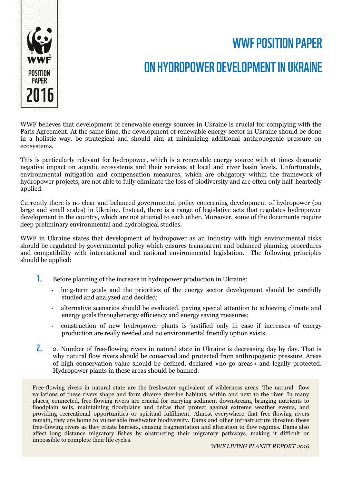

## **WWF POSITION PAPER**

## ON HYDROPOWER DEVELOPMENT IN UKRAINE

WWF believes that development of renewable energy sources in Ukraine is crucial for complying with the Paris Agreement. At the same time, the development of renewable energy sector in Ukraine should be done in a holistic way, be strategical and should aim at minimizing additional anthropogenic pressure on ecosystems.

This is particularly relevant for hydropower, which is a renewable energy source with at times dramatic negative impact on aquatic ecosystems and their services at local and river basin levels. Unfortunately, environmental mitigation and compensation measures, which are obligatory within the framework of hydropower projects, are not able to fully eliminate the loss of biodiversity and are often only half-heartedly applied.

Currently there is no clear and balanced governmental policy concerning development of hydropower (on large and small scales) in Ukraine. Instead, there is a range of legislative acts that regulates hydropower development in the country, which are not attuned to each other. Moreover, some of the documents require deep preliminary environmental and hydrological studies.

WWF in Ukraine states that development of hydropower as an industry with high environmental risks should be regulated by governmental policy which ensures transparent and balanced planning procedures and compatibility with international and national environmental legislation. The following principles should be applied:

- $1<sub>1</sub>$ Before planning of the increase in hydropower production in Ukraine:
	- long-term goals and the priorities of the energy sector development should be carefully studied and analyzed and decided;
	- alternative scenarios should be evaluated, paying special attention to achieving climate and energy goals throughenergy efficiency and energy saving measures;
	- construction of new hydropower plants is justified only in case if increases of energy production are really needed and no environmental friendly option exists.
- $2_{\cdot}$ 2. Number of free-flowing rivers in natural state in Ukraine is decreasing day by day. That is why natural flow rivers should be conserved and protected from anthropogenic pressure. Areas of high conservation value should be defined, declared «no-go areas» and legally protected. Hydropower plants in these areas should be banned.

Free-flowing rivers in natural state are the freshwater equivalent of wilderness areas. The natural flow variations of these rivers shape and form diverse riverine habitats, within and next to the river. In many places, connected, free-flowing rivers are crucial for carrying sediment downstream, bringing nutrients to floodplain soils, maintaining floodplains and deltas that protect against extreme weather events, and providing recreational opportunities or spiritual fulfilment. Almost everywhere that free-flowing rivers remain, they are home to vulnerable freshwater biodiversity. Dams and other infrastructure threaten these free-flowing rivers as they create barriers, causing fragmentation and alteration to flow regimes. Dams also affect long distance migratory fishes by obstructing their migratory pathways, making it difficult or impossible to complete their life cycles.